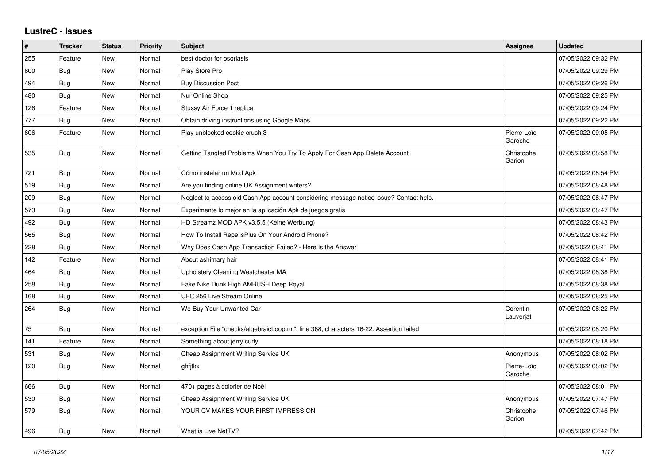## **LustreC - Issues**

| ∦   | <b>Tracker</b> | <b>Status</b> | <b>Priority</b> | <b>Subject</b>                                                                         | <b>Assignee</b>        | <b>Updated</b>      |
|-----|----------------|---------------|-----------------|----------------------------------------------------------------------------------------|------------------------|---------------------|
| 255 | Feature        | New           | Normal          | best doctor for psoriasis                                                              |                        | 07/05/2022 09:32 PM |
| 600 | Bug            | New           | Normal          | Play Store Pro                                                                         |                        | 07/05/2022 09:29 PM |
| 494 | Bug            | New           | Normal          | <b>Buy Discussion Post</b>                                                             |                        | 07/05/2022 09:26 PM |
| 480 | <b>Bug</b>     | New           | Normal          | Nur Online Shop                                                                        |                        | 07/05/2022 09:25 PM |
| 126 | Feature        | New           | Normal          | Stussy Air Force 1 replica                                                             |                        | 07/05/2022 09:24 PM |
| 777 | Bug            | New           | Normal          | Obtain driving instructions using Google Maps.                                         |                        | 07/05/2022 09:22 PM |
| 606 | Feature        | New           | Normal          | Play unblocked cookie crush 3                                                          | Pierre-Loïc<br>Garoche | 07/05/2022 09:05 PM |
| 535 | Bug            | New           | Normal          | Getting Tangled Problems When You Try To Apply For Cash App Delete Account             | Christophe<br>Garion   | 07/05/2022 08:58 PM |
| 721 | Bug            | <b>New</b>    | Normal          | Cómo instalar un Mod Apk                                                               |                        | 07/05/2022 08:54 PM |
| 519 | Bug            | New           | Normal          | Are you finding online UK Assignment writers?                                          |                        | 07/05/2022 08:48 PM |
| 209 | Bug            | New           | Normal          | Neglect to access old Cash App account considering message notice issue? Contact help. |                        | 07/05/2022 08:47 PM |
| 573 | Bug            | New           | Normal          | Experimente lo mejor en la aplicación Apk de juegos gratis                             |                        | 07/05/2022 08:47 PM |
| 492 | <b>Bug</b>     | New           | Normal          | HD Streamz MOD APK v3.5.5 (Keine Werbung)                                              |                        | 07/05/2022 08:43 PM |
| 565 | Bug            | New           | Normal          | How To Install RepelisPlus On Your Android Phone?                                      |                        | 07/05/2022 08:42 PM |
| 228 | Bug            | New           | Normal          | Why Does Cash App Transaction Failed? - Here Is the Answer                             |                        | 07/05/2022 08:41 PM |
| 142 | Feature        | New           | Normal          | About ashimary hair                                                                    |                        | 07/05/2022 08:41 PM |
| 464 | Bug            | New           | Normal          | Upholstery Cleaning Westchester MA                                                     |                        | 07/05/2022 08:38 PM |
| 258 | <b>Bug</b>     | New           | Normal          | Fake Nike Dunk High AMBUSH Deep Royal                                                  |                        | 07/05/2022 08:38 PM |
| 168 | <b>Bug</b>     | New           | Normal          | UFC 256 Live Stream Online                                                             |                        | 07/05/2022 08:25 PM |
| 264 | <b>Bug</b>     | New           | Normal          | We Buy Your Unwanted Car                                                               | Corentin<br>Lauverjat  | 07/05/2022 08:22 PM |
| 75  | Bug            | New           | Normal          | exception File "checks/algebraicLoop.ml", line 368, characters 16-22: Assertion failed |                        | 07/05/2022 08:20 PM |
| 141 | Feature        | <b>New</b>    | Normal          | Something about jerry curly                                                            |                        | 07/05/2022 08:18 PM |
| 531 | Bug            | New           | Normal          | Cheap Assignment Writing Service UK                                                    | Anonymous              | 07/05/2022 08:02 PM |
| 120 | <b>Bug</b>     | New           | Normal          | ghfjtkx                                                                                | Pierre-Loïc<br>Garoche | 07/05/2022 08:02 PM |
| 666 | Bug            | New           | Normal          | 470+ pages à colorier de Noël                                                          |                        | 07/05/2022 08:01 PM |
| 530 | <b>Bug</b>     | <b>New</b>    | Normal          | Cheap Assignment Writing Service UK                                                    | Anonymous              | 07/05/2022 07:47 PM |
| 579 | Bug            | New           | Normal          | YOUR CV MAKES YOUR FIRST IMPRESSION                                                    | Christophe<br>Garion   | 07/05/2022 07:46 PM |
| 496 | Bug            | New           | Normal          | What is Live NetTV?                                                                    |                        | 07/05/2022 07:42 PM |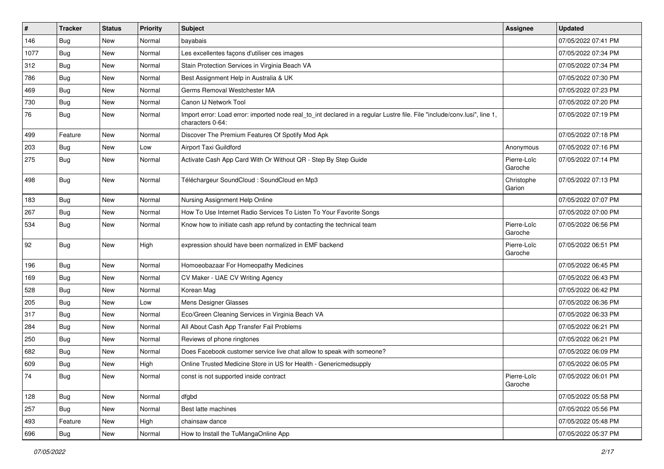| $\vert$ # | <b>Tracker</b> | <b>Status</b> | <b>Priority</b> | <b>Subject</b>                                                                                                                               | Assignee               | <b>Updated</b>      |
|-----------|----------------|---------------|-----------------|----------------------------------------------------------------------------------------------------------------------------------------------|------------------------|---------------------|
| 146       | <b>Bug</b>     | New           | Normal          | bayabais                                                                                                                                     |                        | 07/05/2022 07:41 PM |
| 1077      | <b>Bug</b>     | New           | Normal          | Les excellentes façons d'utiliser ces images                                                                                                 |                        | 07/05/2022 07:34 PM |
| 312       | Bug            | New           | Normal          | Stain Protection Services in Virginia Beach VA                                                                                               |                        | 07/05/2022 07:34 PM |
| 786       | <b>Bug</b>     | New           | Normal          | Best Assignment Help in Australia & UK                                                                                                       |                        | 07/05/2022 07:30 PM |
| 469       | <b>Bug</b>     | New           | Normal          | Germs Removal Westchester MA                                                                                                                 |                        | 07/05/2022 07:23 PM |
| 730       | <b>Bug</b>     | New           | Normal          | Canon IJ Network Tool                                                                                                                        |                        | 07/05/2022 07:20 PM |
| 76        | <b>Bug</b>     | New           | Normal          | Import error: Load error: imported node real_to_int declared in a regular Lustre file. File "include/conv.lusi", line 1,<br>characters 0-64: |                        | 07/05/2022 07:19 PM |
| 499       | Feature        | New           | Normal          | Discover The Premium Features Of Spotify Mod Apk                                                                                             |                        | 07/05/2022 07:18 PM |
| 203       | Bug            | <b>New</b>    | Low             | Airport Taxi Guildford                                                                                                                       | Anonymous              | 07/05/2022 07:16 PM |
| 275       | Bug            | New           | Normal          | Activate Cash App Card With Or Without QR - Step By Step Guide                                                                               | Pierre-Loïc<br>Garoche | 07/05/2022 07:14 PM |
| 498       | Bug            | New           | Normal          | Téléchargeur SoundCloud : SoundCloud en Mp3                                                                                                  | Christophe<br>Garion   | 07/05/2022 07:13 PM |
| 183       | Bug            | New           | Normal          | Nursing Assignment Help Online                                                                                                               |                        | 07/05/2022 07:07 PM |
| 267       | Bug            | New           | Normal          | How To Use Internet Radio Services To Listen To Your Favorite Songs                                                                          |                        | 07/05/2022 07:00 PM |
| 534       | <b>Bug</b>     | New           | Normal          | Know how to initiate cash app refund by contacting the technical team                                                                        | Pierre-Loïc<br>Garoche | 07/05/2022 06:56 PM |
| 92        | Bug            | New           | High            | expression should have been normalized in EMF backend                                                                                        | Pierre-Loïc<br>Garoche | 07/05/2022 06:51 PM |
| 196       | Bug            | New           | Normal          | Homoeobazaar For Homeopathy Medicines                                                                                                        |                        | 07/05/2022 06:45 PM |
| 169       | <b>Bug</b>     | New           | Normal          | CV Maker - UAE CV Writing Agency                                                                                                             |                        | 07/05/2022 06:43 PM |
| 528       | <b>Bug</b>     | New           | Normal          | Korean Mag                                                                                                                                   |                        | 07/05/2022 06:42 PM |
| 205       | Bug            | New           | Low             | Mens Designer Glasses                                                                                                                        |                        | 07/05/2022 06:36 PM |
| 317       | <b>Bug</b>     | New           | Normal          | Eco/Green Cleaning Services in Virginia Beach VA                                                                                             |                        | 07/05/2022 06:33 PM |
| 284       | Bug            | New           | Normal          | All About Cash App Transfer Fail Problems                                                                                                    |                        | 07/05/2022 06:21 PM |
| 250       | Bug            | New           | Normal          | Reviews of phone ringtones                                                                                                                   |                        | 07/05/2022 06:21 PM |
| 682       | <b>Bug</b>     | New           | Normal          | Does Facebook customer service live chat allow to speak with someone?                                                                        |                        | 07/05/2022 06:09 PM |
| 609       | <b>Bug</b>     | New           | High            | Online Trusted Medicine Store in US for Health - Genericmedsupply                                                                            |                        | 07/05/2022 06:05 PM |
| 74        | Bug            | New           | Normal          | const is not supported inside contract                                                                                                       | Pierre-Loïc<br>Garoche | 07/05/2022 06:01 PM |
| 128       | Bug            | New           | Normal          | dfgbd                                                                                                                                        |                        | 07/05/2022 05:58 PM |
| 257       | <b>Bug</b>     | New           | Normal          | Best latte machines                                                                                                                          |                        | 07/05/2022 05:56 PM |
| 493       | Feature        | New           | High            | chainsaw dance                                                                                                                               |                        | 07/05/2022 05:48 PM |
| 696       | <b>Bug</b>     | New           | Normal          | How to Install the TuMangaOnline App                                                                                                         |                        | 07/05/2022 05:37 PM |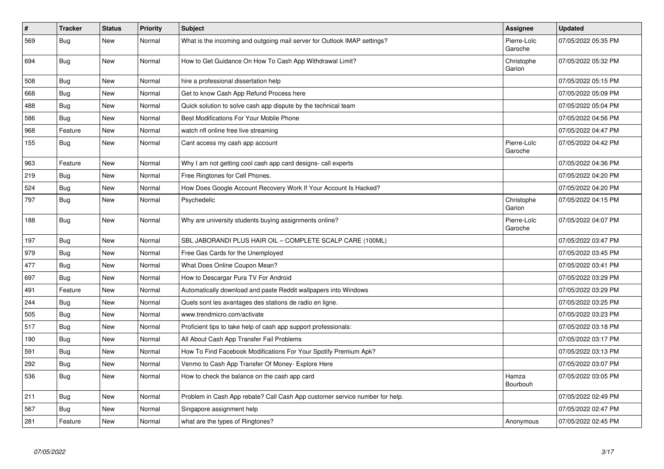| $\vert$ # | <b>Tracker</b> | <b>Status</b> | <b>Priority</b> | <b>Subject</b>                                                              | Assignee               | <b>Updated</b>      |
|-----------|----------------|---------------|-----------------|-----------------------------------------------------------------------------|------------------------|---------------------|
| 569       | <b>Bug</b>     | <b>New</b>    | Normal          | What is the incoming and outgoing mail server for Outlook IMAP settings?    | Pierre-Loïc<br>Garoche | 07/05/2022 05:35 PM |
| 694       | Bug            | New           | Normal          | How to Get Guidance On How To Cash App Withdrawal Limit?                    | Christophe<br>Garion   | 07/05/2022 05:32 PM |
| 508       | Bug            | New           | Normal          | hire a professional dissertation help                                       |                        | 07/05/2022 05:15 PM |
| 668       | Bug            | New           | Normal          | Get to know Cash App Refund Process here                                    |                        | 07/05/2022 05:09 PM |
| 488       | <b>Bug</b>     | New           | Normal          | Quick solution to solve cash app dispute by the technical team              |                        | 07/05/2022 05:04 PM |
| 586       | <b>Bug</b>     | <b>New</b>    | Normal          | Best Modifications For Your Mobile Phone                                    |                        | 07/05/2022 04:56 PM |
| 968       | Feature        | New           | Normal          | watch nfl online free live streaming                                        |                        | 07/05/2022 04:47 PM |
| 155       | <b>Bug</b>     | New           | Normal          | Cant access my cash app account                                             | Pierre-Loïc<br>Garoche | 07/05/2022 04:42 PM |
| 963       | Feature        | <b>New</b>    | Normal          | Why I am not getting cool cash app card designs- call experts               |                        | 07/05/2022 04:36 PM |
| 219       | Bug            | New           | Normal          | Free Ringtones for Cell Phones.                                             |                        | 07/05/2022 04:20 PM |
| 524       | Bug            | New           | Normal          | How Does Google Account Recovery Work If Your Account Is Hacked?            |                        | 07/05/2022 04:20 PM |
| 797       | <b>Bug</b>     | <b>New</b>    | Normal          | Psychedelic                                                                 | Christophe<br>Garion   | 07/05/2022 04:15 PM |
| 188       | <b>Bug</b>     | <b>New</b>    | Normal          | Why are university students buying assignments online?                      | Pierre-Loïc<br>Garoche | 07/05/2022 04:07 PM |
| 197       | <b>Bug</b>     | <b>New</b>    | Normal          | SBL JABORANDI PLUS HAIR OIL - COMPLETE SCALP CARE (100ML)                   |                        | 07/05/2022 03:47 PM |
| 979       | <b>Bug</b>     | New           | Normal          | Free Gas Cards for the Unemployed                                           |                        | 07/05/2022 03:45 PM |
| 477       | Bug            | New           | Normal          | What Does Online Coupon Mean?                                               |                        | 07/05/2022 03:41 PM |
| 697       | <b>Bug</b>     | New           | Normal          | How to Descargar Pura TV For Android                                        |                        | 07/05/2022 03:29 PM |
| 491       | Feature        | New           | Normal          | Automatically download and paste Reddit wallpapers into Windows             |                        | 07/05/2022 03:29 PM |
| 244       | <b>Bug</b>     | New           | Normal          | Quels sont les avantages des stations de radio en ligne.                    |                        | 07/05/2022 03:25 PM |
| 505       | Bug            | New           | Normal          | www.trendmicro.com/activate                                                 |                        | 07/05/2022 03:23 PM |
| 517       | Bug            | New           | Normal          | Proficient tips to take help of cash app support professionals:             |                        | 07/05/2022 03:18 PM |
| 190       | <b>Bug</b>     | New           | Normal          | All About Cash App Transfer Fail Problems                                   |                        | 07/05/2022 03:17 PM |
| 591       | Bug            | <b>New</b>    | Normal          | How To Find Facebook Modifications For Your Spotify Premium Apk?            |                        | 07/05/2022 03:13 PM |
| 292       | <b>Bug</b>     | New           | Normal          | Venmo to Cash App Transfer Of Money- Explore Here                           |                        | 07/05/2022 03:07 PM |
| 536       | Bug            | New           | Normal          | How to check the balance on the cash app card                               | Hamza<br>Bourbouh      | 07/05/2022 03:05 PM |
| 211       | <b>Bug</b>     | New           | Normal          | Problem in Cash App rebate? Call Cash App customer service number for help. |                        | 07/05/2022 02:49 PM |
| 567       | Bug            | New           | Normal          | Singapore assignment help                                                   |                        | 07/05/2022 02:47 PM |
| 281       | Feature        | New           | Normal          | what are the types of Ringtones?                                            | Anonymous              | 07/05/2022 02:45 PM |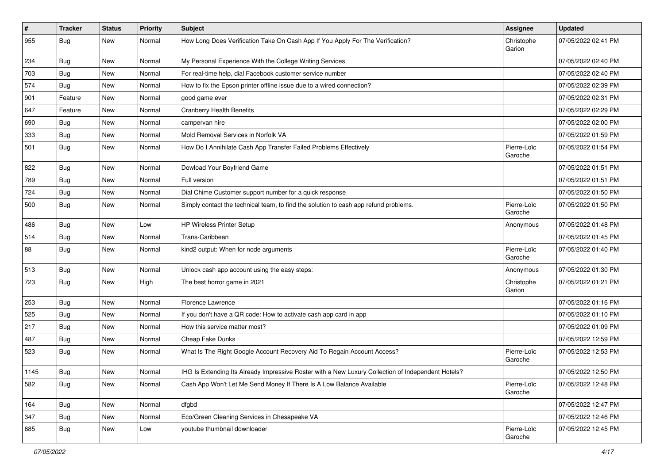| $\vert$ # | <b>Tracker</b> | <b>Status</b> | Priority | <b>Subject</b>                                                                                     | <b>Assignee</b>        | <b>Updated</b>      |
|-----------|----------------|---------------|----------|----------------------------------------------------------------------------------------------------|------------------------|---------------------|
| 955       | <b>Bug</b>     | New           | Normal   | How Long Does Verification Take On Cash App If You Apply For The Verification?                     | Christophe<br>Garion   | 07/05/2022 02:41 PM |
| 234       | <b>Bug</b>     | <b>New</b>    | Normal   | My Personal Experience With the College Writing Services                                           |                        | 07/05/2022 02:40 PM |
| 703       | Bug            | New           | Normal   | For real-time help, dial Facebook customer service number                                          |                        | 07/05/2022 02:40 PM |
| 574       | <b>Bug</b>     | New           | Normal   | How to fix the Epson printer offline issue due to a wired connection?                              |                        | 07/05/2022 02:39 PM |
| 901       | Feature        | New           | Normal   | good game ever                                                                                     |                        | 07/05/2022 02:31 PM |
| 647       | Feature        | New           | Normal   | <b>Cranberry Health Benefits</b>                                                                   |                        | 07/05/2022 02:29 PM |
| 690       | <b>Bug</b>     | New           | Normal   | campervan hire                                                                                     |                        | 07/05/2022 02:00 PM |
| 333       | <b>Bug</b>     | New           | Normal   | Mold Removal Services in Norfolk VA                                                                |                        | 07/05/2022 01:59 PM |
| 501       | <b>Bug</b>     | New           | Normal   | How Do I Annihilate Cash App Transfer Failed Problems Effectively                                  | Pierre-Loïc<br>Garoche | 07/05/2022 01:54 PM |
| 822       | <b>Bug</b>     | New           | Normal   | Dowload Your Boyfriend Game                                                                        |                        | 07/05/2022 01:51 PM |
| 789       | Bug            | New           | Normal   | Full version                                                                                       |                        | 07/05/2022 01:51 PM |
| 724       | <b>Bug</b>     | New           | Normal   | Dial Chime Customer support number for a quick response                                            |                        | 07/05/2022 01:50 PM |
| 500       | <b>Bug</b>     | New           | Normal   | Simply contact the technical team, to find the solution to cash app refund problems.               | Pierre-Loïc<br>Garoche | 07/05/2022 01:50 PM |
| 486       | Bug            | New           | Low      | <b>HP Wireless Printer Setup</b>                                                                   | Anonymous              | 07/05/2022 01:48 PM |
| 514       | <b>Bug</b>     | New           | Normal   | Trans-Caribbean                                                                                    |                        | 07/05/2022 01:45 PM |
| 88        | Bug            | New           | Normal   | kind2 output: When for node arguments                                                              | Pierre-Loïc<br>Garoche | 07/05/2022 01:40 PM |
| 513       | Bug            | New           | Normal   | Unlock cash app account using the easy steps:                                                      | Anonymous              | 07/05/2022 01:30 PM |
| 723       | Bug            | New           | High     | The best horror game in 2021                                                                       | Christophe<br>Garion   | 07/05/2022 01:21 PM |
| 253       | Bug            | New           | Normal   | Florence Lawrence                                                                                  |                        | 07/05/2022 01:16 PM |
| 525       | Bug            | New           | Normal   | If you don't have a QR code: How to activate cash app card in app                                  |                        | 07/05/2022 01:10 PM |
| 217       | <b>Bug</b>     | New           | Normal   | How this service matter most?                                                                      |                        | 07/05/2022 01:09 PM |
| 487       | <b>Bug</b>     | New           | Normal   | Cheap Fake Dunks                                                                                   |                        | 07/05/2022 12:59 PM |
| 523       | <b>Bug</b>     | New           | Normal   | What Is The Right Google Account Recovery Aid To Regain Account Access?                            | Pierre-Loïc<br>Garoche | 07/05/2022 12:53 PM |
| 1145      | <b>Bug</b>     | New           | Normal   | IHG Is Extending Its Already Impressive Roster with a New Luxury Collection of Independent Hotels? |                        | 07/05/2022 12:50 PM |
| 582       | <b>Bug</b>     | New           | Normal   | Cash App Won't Let Me Send Money If There Is A Low Balance Available                               | Pierre-Loïc<br>Garoche | 07/05/2022 12:48 PM |
| 164       | <b>Bug</b>     | New           | Normal   | dfgbd                                                                                              |                        | 07/05/2022 12:47 PM |
| 347       | <b>Bug</b>     | New           | Normal   | Eco/Green Cleaning Services in Chesapeake VA                                                       |                        | 07/05/2022 12:46 PM |
| 685       | <b>Bug</b>     | New           | Low      | youtube thumbnail downloader                                                                       | Pierre-Loïc<br>Garoche | 07/05/2022 12:45 PM |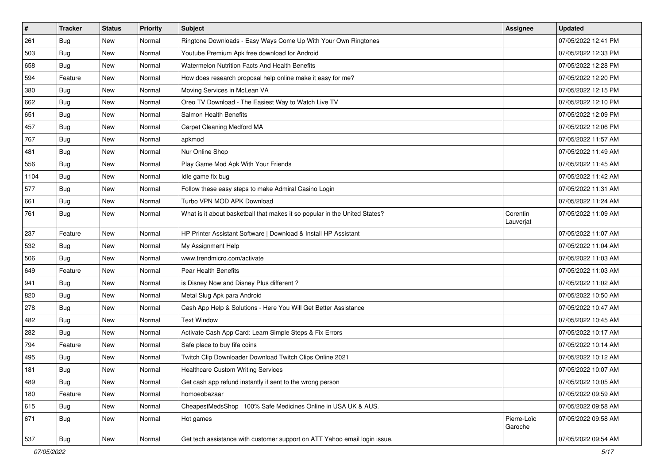| $\sharp$ | <b>Tracker</b> | <b>Status</b> | <b>Priority</b> | Subject                                                                    | <b>Assignee</b>        | <b>Updated</b>      |
|----------|----------------|---------------|-----------------|----------------------------------------------------------------------------|------------------------|---------------------|
| 261      | <b>Bug</b>     | New           | Normal          | Ringtone Downloads - Easy Ways Come Up With Your Own Ringtones             |                        | 07/05/2022 12:41 PM |
| 503      | <b>Bug</b>     | New           | Normal          | Youtube Premium Apk free download for Android                              |                        | 07/05/2022 12:33 PM |
| 658      | Bug            | New           | Normal          | Watermelon Nutrition Facts And Health Benefits                             |                        | 07/05/2022 12:28 PM |
| 594      | Feature        | New           | Normal          | How does research proposal help online make it easy for me?                |                        | 07/05/2022 12:20 PM |
| 380      | Bug            | New           | Normal          | Moving Services in McLean VA                                               |                        | 07/05/2022 12:15 PM |
| 662      | <b>Bug</b>     | New           | Normal          | Oreo TV Download - The Easiest Way to Watch Live TV                        |                        | 07/05/2022 12:10 PM |
| 651      | Bug            | New           | Normal          | Salmon Health Benefits                                                     |                        | 07/05/2022 12:09 PM |
| 457      | <b>Bug</b>     | New           | Normal          | Carpet Cleaning Medford MA                                                 |                        | 07/05/2022 12:06 PM |
| 767      | Bug            | New           | Normal          | apkmod                                                                     |                        | 07/05/2022 11:57 AM |
| 481      | Bug            | New           | Normal          | Nur Online Shop                                                            |                        | 07/05/2022 11:49 AM |
| 556      | <b>Bug</b>     | New           | Normal          | Play Game Mod Apk With Your Friends                                        |                        | 07/05/2022 11:45 AM |
| 1104     | Bug            | New           | Normal          | Idle game fix bug                                                          |                        | 07/05/2022 11:42 AM |
| 577      | Bug            | New           | Normal          | Follow these easy steps to make Admiral Casino Login                       |                        | 07/05/2022 11:31 AM |
| 661      | <b>Bug</b>     | New           | Normal          | Turbo VPN MOD APK Download                                                 |                        | 07/05/2022 11:24 AM |
| 761      | <b>Bug</b>     | New           | Normal          | What is it about basketball that makes it so popular in the United States? | Corentin<br>Lauverjat  | 07/05/2022 11:09 AM |
| 237      | Feature        | <b>New</b>    | Normal          | HP Printer Assistant Software   Download & Install HP Assistant            |                        | 07/05/2022 11:07 AM |
| 532      | Bug            | New           | Normal          | My Assignment Help                                                         |                        | 07/05/2022 11:04 AM |
| 506      | <b>Bug</b>     | New           | Normal          | www.trendmicro.com/activate                                                |                        | 07/05/2022 11:03 AM |
| 649      | Feature        | New           | Normal          | Pear Health Benefits                                                       |                        | 07/05/2022 11:03 AM |
| 941      | Bug            | New           | Normal          | is Disney Now and Disney Plus different?                                   |                        | 07/05/2022 11:02 AM |
| 820      | <b>Bug</b>     | New           | Normal          | Metal Slug Apk para Android                                                |                        | 07/05/2022 10:50 AM |
| 278      | Bug            | New           | Normal          | Cash App Help & Solutions - Here You Will Get Better Assistance            |                        | 07/05/2022 10:47 AM |
| 482      | Bug            | New           | Normal          | <b>Text Window</b>                                                         |                        | 07/05/2022 10:45 AM |
| 282      | Bug            | New           | Normal          | Activate Cash App Card: Learn Simple Steps & Fix Errors                    |                        | 07/05/2022 10:17 AM |
| 794      | Feature        | New           | Normal          | Safe place to buy fifa coins                                               |                        | 07/05/2022 10:14 AM |
| 495      | <b>Bug</b>     | New           | Normal          | Twitch Clip Downloader Download Twitch Clips Online 2021                   |                        | 07/05/2022 10:12 AM |
| 181      | <b>Bug</b>     | New           | Normal          | <b>Healthcare Custom Writing Services</b>                                  |                        | 07/05/2022 10:07 AM |
| 489      | <b>Bug</b>     | New           | Normal          | Get cash app refund instantly if sent to the wrong person                  |                        | 07/05/2022 10:05 AM |
| 180      | Feature        | New           | Normal          | homoeobazaar                                                               |                        | 07/05/2022 09:59 AM |
| 615      | Bug            | New           | Normal          | CheapestMedsShop   100% Safe Medicines Online in USA UK & AUS.             |                        | 07/05/2022 09:58 AM |
| 671      | <b>Bug</b>     | New           | Normal          | Hot games                                                                  | Pierre-Loïc<br>Garoche | 07/05/2022 09:58 AM |
| 537      | <b>Bug</b>     | New           | Normal          | Get tech assistance with customer support on ATT Yahoo email login issue.  |                        | 07/05/2022 09:54 AM |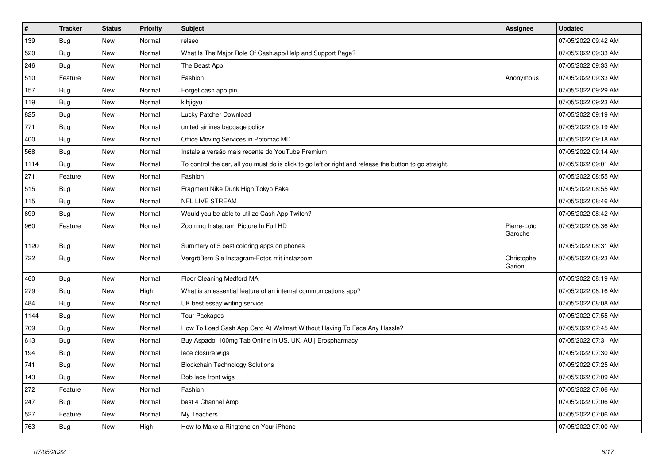| $\vert$ # | <b>Tracker</b> | <b>Status</b> | <b>Priority</b> | Subject                                                                                                 | Assignee               | <b>Updated</b>      |
|-----------|----------------|---------------|-----------------|---------------------------------------------------------------------------------------------------------|------------------------|---------------------|
| 139       | Bug            | <b>New</b>    | Normal          | relseo                                                                                                  |                        | 07/05/2022 09:42 AM |
| 520       | Bug            | <b>New</b>    | Normal          | What Is The Major Role Of Cash.app/Help and Support Page?                                               |                        | 07/05/2022 09:33 AM |
| 246       | Bug            | New           | Normal          | The Beast App                                                                                           |                        | 07/05/2022 09:33 AM |
| 510       | Feature        | <b>New</b>    | Normal          | Fashion                                                                                                 | Anonymous              | 07/05/2022 09:33 AM |
| 157       | Bug            | New           | Normal          | Forget cash app pin                                                                                     |                        | 07/05/2022 09:29 AM |
| 119       | <b>Bug</b>     | <b>New</b>    | Normal          | klhjigyu                                                                                                |                        | 07/05/2022 09:23 AM |
| 825       | <b>Bug</b>     | <b>New</b>    | Normal          | Lucky Patcher Download                                                                                  |                        | 07/05/2022 09:19 AM |
| 771       | <b>Bug</b>     | <b>New</b>    | Normal          | united airlines baggage policy                                                                          |                        | 07/05/2022 09:19 AM |
| 400       | Bug            | New           | Normal          | Office Moving Services in Potomac MD                                                                    |                        | 07/05/2022 09:18 AM |
| 568       | <b>Bug</b>     | <b>New</b>    | Normal          | Instale a versão mais recente do YouTube Premium                                                        |                        | 07/05/2022 09:14 AM |
| 1114      | <b>Bug</b>     | New           | Normal          | To control the car, all you must do is click to go left or right and release the button to go straight. |                        | 07/05/2022 09:01 AM |
| 271       | Feature        | <b>New</b>    | Normal          | Fashion                                                                                                 |                        | 07/05/2022 08:55 AM |
| 515       | Bug            | New           | Normal          | Fragment Nike Dunk High Tokyo Fake                                                                      |                        | 07/05/2022 08:55 AM |
| 115       | <b>Bug</b>     | <b>New</b>    | Normal          | <b>NFL LIVE STREAM</b>                                                                                  |                        | 07/05/2022 08:46 AM |
| 699       | Bug            | New           | Normal          | Would you be able to utilize Cash App Twitch?                                                           |                        | 07/05/2022 08:42 AM |
| 960       | Feature        | New           | Normal          | Zooming Instagram Picture In Full HD                                                                    | Pierre-Loïc<br>Garoche | 07/05/2022 08:36 AM |
| 1120      | Bug            | New           | Normal          | Summary of 5 best coloring apps on phones                                                               |                        | 07/05/2022 08:31 AM |
| 722       | Bug            | New           | Normal          | Vergrößern Sie Instagram-Fotos mit instazoom                                                            | Christophe<br>Garion   | 07/05/2022 08:23 AM |
| 460       | Bug            | New           | Normal          | Floor Cleaning Medford MA                                                                               |                        | 07/05/2022 08:19 AM |
| 279       | Bug            | New           | High            | What is an essential feature of an internal communications app?                                         |                        | 07/05/2022 08:16 AM |
| 484       | Bug            | New           | Normal          | UK best essay writing service                                                                           |                        | 07/05/2022 08:08 AM |
| 1144      | Bug            | <b>New</b>    | Normal          | <b>Tour Packages</b>                                                                                    |                        | 07/05/2022 07:55 AM |
| 709       | Bug            | New           | Normal          | How To Load Cash App Card At Walmart Without Having To Face Any Hassle?                                 |                        | 07/05/2022 07:45 AM |
| 613       | <b>Bug</b>     | New           | Normal          | Buy Aspadol 100mg Tab Online in US, UK, AU   Erospharmacy                                               |                        | 07/05/2022 07:31 AM |
| 194       | <b>Bug</b>     | New           | Normal          | lace closure wigs                                                                                       |                        | 07/05/2022 07:30 AM |
| 741       | Bug            | New           | Normal          | <b>Blockchain Technology Solutions</b>                                                                  |                        | 07/05/2022 07:25 AM |
| 143       | Bug            | New           | Normal          | Bob lace front wigs                                                                                     |                        | 07/05/2022 07:09 AM |
| 272       | Feature        | New           | Normal          | Fashion                                                                                                 |                        | 07/05/2022 07:06 AM |
| 247       | <b>Bug</b>     | New           | Normal          | best 4 Channel Amp                                                                                      |                        | 07/05/2022 07:06 AM |
| 527       | Feature        | <b>New</b>    | Normal          | My Teachers                                                                                             |                        | 07/05/2022 07:06 AM |
| 763       | Bug            | New           | High            | How to Make a Ringtone on Your iPhone                                                                   |                        | 07/05/2022 07:00 AM |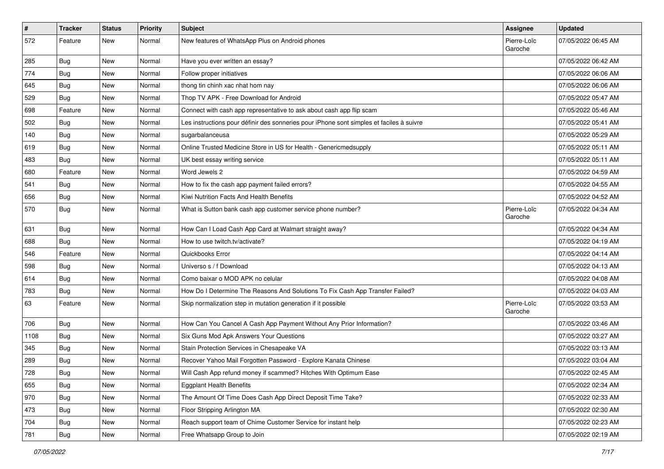| $\pmb{\#}$ | <b>Tracker</b> | <b>Status</b> | <b>Priority</b> | <b>Subject</b>                                                                           | <b>Assignee</b>        | <b>Updated</b>      |
|------------|----------------|---------------|-----------------|------------------------------------------------------------------------------------------|------------------------|---------------------|
| 572        | Feature        | New           | Normal          | New features of WhatsApp Plus on Android phones                                          | Pierre-Loïc<br>Garoche | 07/05/2022 06:45 AM |
| 285        | <b>Bug</b>     | New           | Normal          | Have you ever written an essay?                                                          |                        | 07/05/2022 06:42 AM |
| 774        | Bug            | New           | Normal          | Follow proper initiatives                                                                |                        | 07/05/2022 06:06 AM |
| 645        | Bug            | New           | Normal          | thong tin chinh xac nhat hom nay                                                         |                        | 07/05/2022 06:06 AM |
| 529        | <b>Bug</b>     | New           | Normal          | Thop TV APK - Free Download for Android                                                  |                        | 07/05/2022 05:47 AM |
| 698        | Feature        | New           | Normal          | Connect with cash app representative to ask about cash app flip scam                     |                        | 07/05/2022 05:46 AM |
| 502        | Bug            | New           | Normal          | Les instructions pour définir des sonneries pour iPhone sont simples et faciles à suivre |                        | 07/05/2022 05:41 AM |
| 140        | <b>Bug</b>     | New           | Normal          | sugarbalanceusa                                                                          |                        | 07/05/2022 05:29 AM |
| 619        | Bug            | New           | Normal          | Online Trusted Medicine Store in US for Health - Genericmedsupply                        |                        | 07/05/2022 05:11 AM |
| 483        | <b>Bug</b>     | New           | Normal          | UK best essay writing service                                                            |                        | 07/05/2022 05:11 AM |
| 680        | Feature        | New           | Normal          | Word Jewels 2                                                                            |                        | 07/05/2022 04:59 AM |
| 541        | <b>Bug</b>     | New           | Normal          | How to fix the cash app payment failed errors?                                           |                        | 07/05/2022 04:55 AM |
| 656        | <b>Bug</b>     | New           | Normal          | Kiwi Nutrition Facts And Health Benefits                                                 |                        | 07/05/2022 04:52 AM |
| 570        | <b>Bug</b>     | New           | Normal          | What is Sutton bank cash app customer service phone number?                              | Pierre-Loïc<br>Garoche | 07/05/2022 04:34 AM |
| 631        | Bug            | New           | Normal          | How Can I Load Cash App Card at Walmart straight away?                                   |                        | 07/05/2022 04:34 AM |
| 688        | Bug            | <b>New</b>    | Normal          | How to use twitch.tv/activate?                                                           |                        | 07/05/2022 04:19 AM |
| 546        | Feature        | New           | Normal          | Quickbooks Error                                                                         |                        | 07/05/2022 04:14 AM |
| 598        | <b>Bug</b>     | New           | Normal          | Universo s / f Download                                                                  |                        | 07/05/2022 04:13 AM |
| 614        | <b>Bug</b>     | New           | Normal          | Como baixar o MOD APK no celular                                                         |                        | 07/05/2022 04:08 AM |
| 783        | <b>Bug</b>     | New           | Normal          | How Do I Determine The Reasons And Solutions To Fix Cash App Transfer Failed?            |                        | 07/05/2022 04:03 AM |
| 63         | Feature        | New           | Normal          | Skip normalization step in mutation generation if it possible                            | Pierre-Loïc<br>Garoche | 07/05/2022 03:53 AM |
| 706        | Bug            | New           | Normal          | How Can You Cancel A Cash App Payment Without Any Prior Information?                     |                        | 07/05/2022 03:46 AM |
| 1108       | Bug            | New           | Normal          | Six Guns Mod Apk Answers Your Questions                                                  |                        | 07/05/2022 03:27 AM |
| 345        | Bug            | New           | Normal          | Stain Protection Services in Chesapeake VA                                               |                        | 07/05/2022 03:13 AM |
| 289        | <b>Bug</b>     | New           | Normal          | Recover Yahoo Mail Forgotten Password - Explore Kanata Chinese                           |                        | 07/05/2022 03:04 AM |
| 728        | Bug            | New           | Normal          | Will Cash App refund money if scammed? Hitches With Optimum Ease                         |                        | 07/05/2022 02:45 AM |
| 655        | <b>Bug</b>     | New           | Normal          | <b>Eggplant Health Benefits</b>                                                          |                        | 07/05/2022 02:34 AM |
| 970        | Bug            | New           | Normal          | The Amount Of Time Does Cash App Direct Deposit Time Take?                               |                        | 07/05/2022 02:33 AM |
| 473        | <b>Bug</b>     | New           | Normal          | Floor Stripping Arlington MA                                                             |                        | 07/05/2022 02:30 AM |
| 704        | <b>Bug</b>     | New           | Normal          | Reach support team of Chime Customer Service for instant help                            |                        | 07/05/2022 02:23 AM |
| 781        | Bug            | New           | Normal          | Free Whatsapp Group to Join                                                              |                        | 07/05/2022 02:19 AM |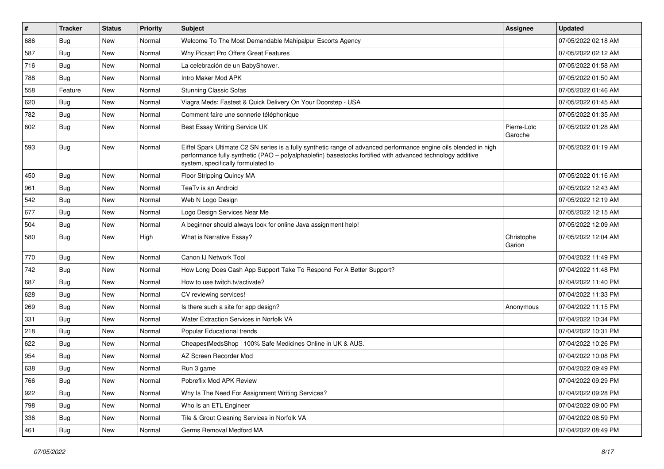| $\vert$ # | <b>Tracker</b> | <b>Status</b> | <b>Priority</b> | Subject                                                                                                                                                                                                                                                               | <b>Assignee</b>        | <b>Updated</b>      |
|-----------|----------------|---------------|-----------------|-----------------------------------------------------------------------------------------------------------------------------------------------------------------------------------------------------------------------------------------------------------------------|------------------------|---------------------|
| 686       | <b>Bug</b>     | New           | Normal          | Welcome To The Most Demandable Mahipalpur Escorts Agency                                                                                                                                                                                                              |                        | 07/05/2022 02:18 AM |
| 587       | <b>Bug</b>     | New           | Normal          | Why Picsart Pro Offers Great Features                                                                                                                                                                                                                                 |                        | 07/05/2022 02:12 AM |
| 716       | <b>Bug</b>     | New           | Normal          | La celebración de un BabyShower.                                                                                                                                                                                                                                      |                        | 07/05/2022 01:58 AM |
| 788       | <b>Bug</b>     | <b>New</b>    | Normal          | Intro Maker Mod APK                                                                                                                                                                                                                                                   |                        | 07/05/2022 01:50 AM |
| 558       | Feature        | New           | Normal          | <b>Stunning Classic Sofas</b>                                                                                                                                                                                                                                         |                        | 07/05/2022 01:46 AM |
| 620       | <b>Bug</b>     | New           | Normal          | Viagra Meds: Fastest & Quick Delivery On Your Doorstep - USA                                                                                                                                                                                                          |                        | 07/05/2022 01:45 AM |
| 782       | Bug            | New           | Normal          | Comment faire une sonnerie téléphonique                                                                                                                                                                                                                               |                        | 07/05/2022 01:35 AM |
| 602       | Bug            | New           | Normal          | Best Essay Writing Service UK                                                                                                                                                                                                                                         | Pierre-Loïc<br>Garoche | 07/05/2022 01:28 AM |
| 593       | Bug            | New           | Normal          | Eiffel Spark Ultimate C2 SN series is a fully synthetic range of advanced performance engine oils blended in high<br>performance fully synthetic (PAO - polyalphaolefin) basestocks fortified with advanced technology additive<br>system, specifically formulated to |                        | 07/05/2022 01:19 AM |
| 450       | Bug            | New           | Normal          | Floor Stripping Quincy MA                                                                                                                                                                                                                                             |                        | 07/05/2022 01:16 AM |
| 961       | Bug            | New           | Normal          | TeaTv is an Android                                                                                                                                                                                                                                                   |                        | 07/05/2022 12:43 AM |
| 542       | <b>Bug</b>     | New           | Normal          | Web N Logo Design                                                                                                                                                                                                                                                     |                        | 07/05/2022 12:19 AM |
| 677       | Bug            | New           | Normal          | Logo Design Services Near Me                                                                                                                                                                                                                                          |                        | 07/05/2022 12:15 AM |
| 504       | Bug            | New           | Normal          | A beginner should always look for online Java assignment help!                                                                                                                                                                                                        |                        | 07/05/2022 12:09 AM |
| 580       | Bug            | New           | High            | What is Narrative Essay?                                                                                                                                                                                                                                              | Christophe<br>Garion   | 07/05/2022 12:04 AM |
| 770       | <b>Bug</b>     | New           | Normal          | Canon IJ Network Tool                                                                                                                                                                                                                                                 |                        | 07/04/2022 11:49 PM |
| 742       | Bug            | New           | Normal          | How Long Does Cash App Support Take To Respond For A Better Support?                                                                                                                                                                                                  |                        | 07/04/2022 11:48 PM |
| 687       | <b>Bug</b>     | New           | Normal          | How to use twitch.tv/activate?                                                                                                                                                                                                                                        |                        | 07/04/2022 11:40 PM |
| 628       | Bug            | New           | Normal          | CV reviewing services!                                                                                                                                                                                                                                                |                        | 07/04/2022 11:33 PM |
| 269       | Bug            | New           | Normal          | Is there such a site for app design?                                                                                                                                                                                                                                  | Anonymous              | 07/04/2022 11:15 PM |
| 331       | Bug            | New           | Normal          | <b>Water Extraction Services in Norfolk VA</b>                                                                                                                                                                                                                        |                        | 07/04/2022 10:34 PM |
| 218       | Bug            | New           | Normal          | Popular Educational trends                                                                                                                                                                                                                                            |                        | 07/04/2022 10:31 PM |
| 622       | <b>Bug</b>     | New           | Normal          | CheapestMedsShop   100% Safe Medicines Online in UK & AUS.                                                                                                                                                                                                            |                        | 07/04/2022 10:26 PM |
| 954       | <b>Bug</b>     | New           | Normal          | AZ Screen Recorder Mod                                                                                                                                                                                                                                                |                        | 07/04/2022 10:08 PM |
| 638       | <b>Bug</b>     | New           | Normal          | Run 3 game                                                                                                                                                                                                                                                            |                        | 07/04/2022 09:49 PM |
| 766       | <b>Bug</b>     | New           | Normal          | Pobreflix Mod APK Review                                                                                                                                                                                                                                              |                        | 07/04/2022 09:29 PM |
| 922       | Bug            | New           | Normal          | Why Is The Need For Assignment Writing Services?                                                                                                                                                                                                                      |                        | 07/04/2022 09:28 PM |
| 798       | Bug            | New           | Normal          | Who Is an ETL Engineer                                                                                                                                                                                                                                                |                        | 07/04/2022 09:00 PM |
| 336       | <b>Bug</b>     | New           | Normal          | Tile & Grout Cleaning Services in Norfolk VA                                                                                                                                                                                                                          |                        | 07/04/2022 08:59 PM |
| 461       | <b>Bug</b>     | New           | Normal          | Germs Removal Medford MA                                                                                                                                                                                                                                              |                        | 07/04/2022 08:49 PM |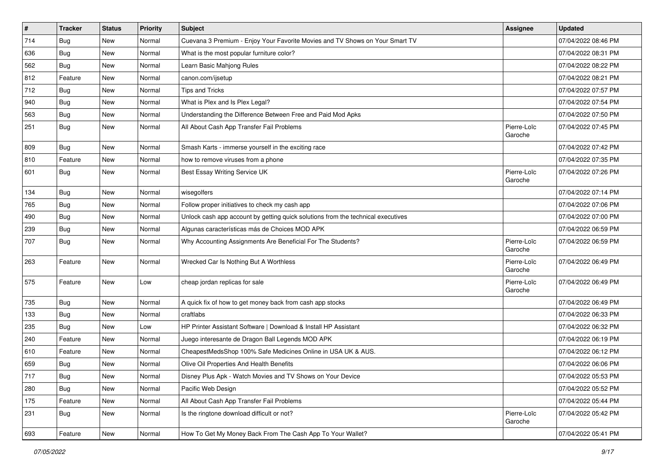| $\sharp$ | <b>Tracker</b> | <b>Status</b> | <b>Priority</b> | Subject                                                                          | <b>Assignee</b>        | <b>Updated</b>      |
|----------|----------------|---------------|-----------------|----------------------------------------------------------------------------------|------------------------|---------------------|
| 714      | <b>Bug</b>     | New           | Normal          | Cuevana 3 Premium - Enjoy Your Favorite Movies and TV Shows on Your Smart TV     |                        | 07/04/2022 08:46 PM |
| 636      | <b>Bug</b>     | New           | Normal          | What is the most popular furniture color?                                        |                        | 07/04/2022 08:31 PM |
| 562      | Bug            | New           | Normal          | Learn Basic Mahjong Rules                                                        |                        | 07/04/2022 08:22 PM |
| 812      | Feature        | New           | Normal          | canon.com/ijsetup                                                                |                        | 07/04/2022 08:21 PM |
| 712      | Bug            | New           | Normal          | <b>Tips and Tricks</b>                                                           |                        | 07/04/2022 07:57 PM |
| 940      | <b>Bug</b>     | New           | Normal          | What is Plex and Is Plex Legal?                                                  |                        | 07/04/2022 07:54 PM |
| 563      | Bug            | New           | Normal          | Understanding the Difference Between Free and Paid Mod Apks                      |                        | 07/04/2022 07:50 PM |
| 251      | Bug            | New           | Normal          | All About Cash App Transfer Fail Problems                                        | Pierre-Loïc<br>Garoche | 07/04/2022 07:45 PM |
| 809      | <b>Bug</b>     | <b>New</b>    | Normal          | Smash Karts - immerse yourself in the exciting race                              |                        | 07/04/2022 07:42 PM |
| 810      | Feature        | New           | Normal          | how to remove viruses from a phone                                               |                        | 07/04/2022 07:35 PM |
| 601      | <b>Bug</b>     | New           | Normal          | Best Essay Writing Service UK                                                    | Pierre-Loïc<br>Garoche | 07/04/2022 07:26 PM |
| 134      | Bug            | <b>New</b>    | Normal          | wisegolfers                                                                      |                        | 07/04/2022 07:14 PM |
| 765      | Bug            | New           | Normal          | Follow proper initiatives to check my cash app                                   |                        | 07/04/2022 07:06 PM |
| 490      | Bug            | New           | Normal          | Unlock cash app account by getting quick solutions from the technical executives |                        | 07/04/2022 07:00 PM |
| 239      | <b>Bug</b>     | <b>New</b>    | Normal          | Algunas características más de Choices MOD APK                                   |                        | 07/04/2022 06:59 PM |
| 707      | <b>Bug</b>     | New           | Normal          | Why Accounting Assignments Are Beneficial For The Students?                      | Pierre-Loïc<br>Garoche | 07/04/2022 06:59 PM |
| 263      | Feature        | New           | Normal          | Wrecked Car Is Nothing But A Worthless                                           | Pierre-Loïc<br>Garoche | 07/04/2022 06:49 PM |
| 575      | Feature        | New           | Low             | cheap jordan replicas for sale                                                   | Pierre-Loïc<br>Garoche | 07/04/2022 06:49 PM |
| 735      | Bug            | New           | Normal          | A quick fix of how to get money back from cash app stocks                        |                        | 07/04/2022 06:49 PM |
| 133      | Bug            | New           | Normal          | craftlabs                                                                        |                        | 07/04/2022 06:33 PM |
| 235      | <b>Bug</b>     | <b>New</b>    | Low             | HP Printer Assistant Software   Download & Install HP Assistant                  |                        | 07/04/2022 06:32 PM |
| 240      | Feature        | New           | Normal          | Juego interesante de Dragon Ball Legends MOD APK                                 |                        | 07/04/2022 06:19 PM |
| 610      | Feature        | New           | Normal          | CheapestMedsShop 100% Safe Medicines Online in USA UK & AUS.                     |                        | 07/04/2022 06:12 PM |
| 659      | <b>Bug</b>     | New           | Normal          | Olive Oil Properties And Health Benefits                                         |                        | 07/04/2022 06:06 PM |
| 717      | Bug            | New           | Normal          | Disney Plus Apk - Watch Movies and TV Shows on Your Device                       |                        | 07/04/2022 05:53 PM |
| 280      | <b>Bug</b>     | New           | Normal          | Pacific Web Design                                                               |                        | 07/04/2022 05:52 PM |
| 175      | Feature        | New           | Normal          | All About Cash App Transfer Fail Problems                                        |                        | 07/04/2022 05:44 PM |
| 231      | <b>Bug</b>     | New           | Normal          | Is the ringtone download difficult or not?                                       | Pierre-Loïc<br>Garoche | 07/04/2022 05:42 PM |
| 693      | Feature        | New           | Normal          | How To Get My Money Back From The Cash App To Your Wallet?                       |                        | 07/04/2022 05:41 PM |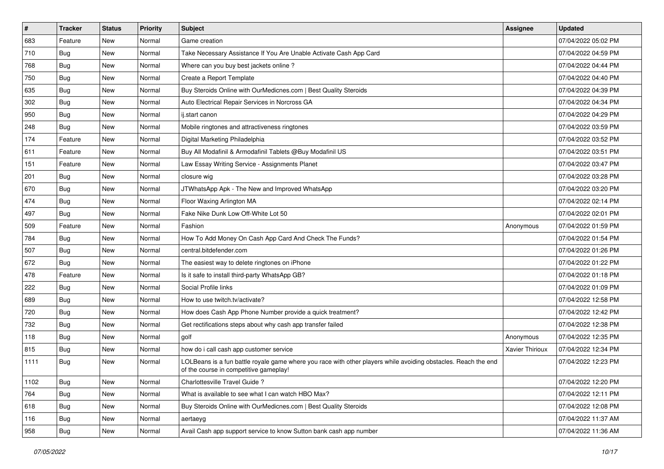| $\vert$ # | <b>Tracker</b> | <b>Status</b> | <b>Priority</b> | Subject                                                                                                                                                  | <b>Assignee</b> | <b>Updated</b>      |
|-----------|----------------|---------------|-----------------|----------------------------------------------------------------------------------------------------------------------------------------------------------|-----------------|---------------------|
| 683       | Feature        | New           | Normal          | Game creation                                                                                                                                            |                 | 07/04/2022 05:02 PM |
| 710       | <b>Bug</b>     | New           | Normal          | Take Necessary Assistance If You Are Unable Activate Cash App Card                                                                                       |                 | 07/04/2022 04:59 PM |
| 768       | <b>Bug</b>     | New           | Normal          | Where can you buy best jackets online?                                                                                                                   |                 | 07/04/2022 04:44 PM |
| 750       | <b>Bug</b>     | <b>New</b>    | Normal          | Create a Report Template                                                                                                                                 |                 | 07/04/2022 04:40 PM |
| 635       | <b>Bug</b>     | New           | Normal          | Buy Steroids Online with OurMedicnes.com   Best Quality Steroids                                                                                         |                 | 07/04/2022 04:39 PM |
| 302       | <b>Bug</b>     | New           | Normal          | Auto Electrical Repair Services in Norcross GA                                                                                                           |                 | 07/04/2022 04:34 PM |
| 950       | Bug            | New           | Normal          | ij.start canon                                                                                                                                           |                 | 07/04/2022 04:29 PM |
| 248       | Bug            | New           | Normal          | Mobile ringtones and attractiveness ringtones                                                                                                            |                 | 07/04/2022 03:59 PM |
| 174       | Feature        | New           | Normal          | Digital Marketing Philadelphia                                                                                                                           |                 | 07/04/2022 03:52 PM |
| 611       | Feature        | New           | Normal          | Buy All Modafinil & Armodafinil Tablets @Buy Modafinil US                                                                                                |                 | 07/04/2022 03:51 PM |
| 151       | Feature        | New           | Normal          | Law Essay Writing Service - Assignments Planet                                                                                                           |                 | 07/04/2022 03:47 PM |
| 201       | Bug            | New           | Normal          | closure wig                                                                                                                                              |                 | 07/04/2022 03:28 PM |
| 670       | Bug            | <b>New</b>    | Normal          | JTWhatsApp Apk - The New and Improved WhatsApp                                                                                                           |                 | 07/04/2022 03:20 PM |
| 474       | <b>Bug</b>     | New           | Normal          | Floor Waxing Arlington MA                                                                                                                                |                 | 07/04/2022 02:14 PM |
| 497       | <b>Bug</b>     | New           | Normal          | Fake Nike Dunk Low Off-White Lot 50                                                                                                                      |                 | 07/04/2022 02:01 PM |
| 509       | Feature        | New           | Normal          | Fashion                                                                                                                                                  | Anonymous       | 07/04/2022 01:59 PM |
| 784       | <b>Bug</b>     | New           | Normal          | How To Add Money On Cash App Card And Check The Funds?                                                                                                   |                 | 07/04/2022 01:54 PM |
| 507       | <b>Bug</b>     | New           | Normal          | central.bitdefender.com                                                                                                                                  |                 | 07/04/2022 01:26 PM |
| 672       | Bug            | New           | Normal          | The easiest way to delete ringtones on iPhone                                                                                                            |                 | 07/04/2022 01:22 PM |
| 478       | Feature        | New           | Normal          | Is it safe to install third-party WhatsApp GB?                                                                                                           |                 | 07/04/2022 01:18 PM |
| 222       | <b>Bug</b>     | New           | Normal          | Social Profile links                                                                                                                                     |                 | 07/04/2022 01:09 PM |
| 689       | <b>Bug</b>     | New           | Normal          | How to use twitch.tv/activate?                                                                                                                           |                 | 07/04/2022 12:58 PM |
| 720       | Bug            | New           | Normal          | How does Cash App Phone Number provide a quick treatment?                                                                                                |                 | 07/04/2022 12:42 PM |
| 732       | <b>Bug</b>     | New           | Normal          | Get rectifications steps about why cash app transfer failed                                                                                              |                 | 07/04/2022 12:38 PM |
| 118       | Bug            | New           | Normal          | golf                                                                                                                                                     | Anonymous       | 07/04/2022 12:35 PM |
| 815       | <b>Bug</b>     | New           | Normal          | how do i call cash app customer service                                                                                                                  | Xavier Thirioux | 07/04/2022 12:34 PM |
| 1111      | Bug            | New           | Normal          | LOLBeans is a fun battle royale game where you race with other players while avoiding obstacles. Reach the end<br>of the course in competitive gameplay! |                 | 07/04/2022 12:23 PM |
| 1102      | <b>Bug</b>     | New           | Normal          | Charlottesville Travel Guide ?                                                                                                                           |                 | 07/04/2022 12:20 PM |
| 764       | Bug            | New           | Normal          | What is available to see what I can watch HBO Max?                                                                                                       |                 | 07/04/2022 12:11 PM |
| 618       | Bug            | New           | Normal          | Buy Steroids Online with OurMedicnes.com   Best Quality Steroids                                                                                         |                 | 07/04/2022 12:08 PM |
| 116       | <b>Bug</b>     | New           | Normal          | aertaeyg                                                                                                                                                 |                 | 07/04/2022 11:37 AM |
| 958       | <b>Bug</b>     | New           | Normal          | Avail Cash app support service to know Sutton bank cash app number                                                                                       |                 | 07/04/2022 11:36 AM |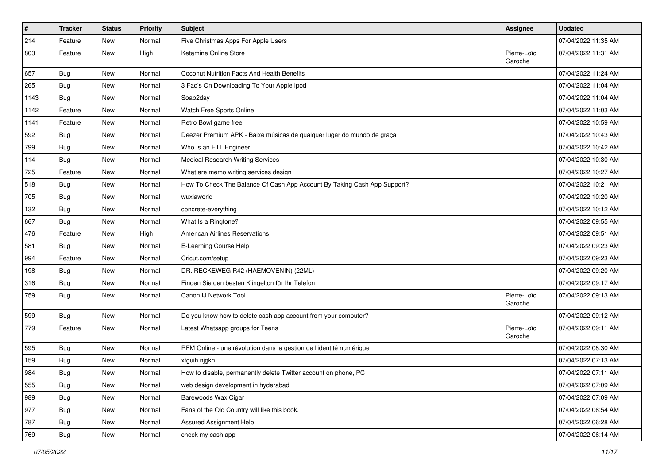| $\vert$ # | <b>Tracker</b> | <b>Status</b> | <b>Priority</b> | Subject                                                                  | Assignee               | <b>Updated</b>      |
|-----------|----------------|---------------|-----------------|--------------------------------------------------------------------------|------------------------|---------------------|
| 214       | Feature        | New           | Normal          | Five Christmas Apps For Apple Users                                      |                        | 07/04/2022 11:35 AM |
| 803       | Feature        | New           | High            | Ketamine Online Store                                                    | Pierre-Loïc<br>Garoche | 07/04/2022 11:31 AM |
| 657       | <b>Bug</b>     | New           | Normal          | <b>Coconut Nutrition Facts And Health Benefits</b>                       |                        | 07/04/2022 11:24 AM |
| 265       | Bug            | New           | Normal          | 3 Faq's On Downloading To Your Apple Ipod                                |                        | 07/04/2022 11:04 AM |
| 1143      | Bug            | New           | Normal          | Soap2day                                                                 |                        | 07/04/2022 11:04 AM |
| 1142      | Feature        | New           | Normal          | Watch Free Sports Online                                                 |                        | 07/04/2022 11:03 AM |
| 1141      | Feature        | New           | Normal          | Retro Bowl game free                                                     |                        | 07/04/2022 10:59 AM |
| 592       | <b>Bug</b>     | New           | Normal          | Deezer Premium APK - Baixe músicas de qualquer lugar do mundo de graça   |                        | 07/04/2022 10:43 AM |
| 799       | Bug            | New           | Normal          | Who Is an ETL Engineer                                                   |                        | 07/04/2022 10:42 AM |
| 114       | <b>Bug</b>     | New           | Normal          | Medical Research Writing Services                                        |                        | 07/04/2022 10:30 AM |
| 725       | Feature        | New           | Normal          | What are memo writing services design                                    |                        | 07/04/2022 10:27 AM |
| 518       | Bug            | New           | Normal          | How To Check The Balance Of Cash App Account By Taking Cash App Support? |                        | 07/04/2022 10:21 AM |
| 705       | <b>Bug</b>     | New           | Normal          | wuxiaworld                                                               |                        | 07/04/2022 10:20 AM |
| 132       | Bug            | New           | Normal          | concrete-everything                                                      |                        | 07/04/2022 10:12 AM |
| 667       | Bug            | New           | Normal          | What Is a Ringtone?                                                      |                        | 07/04/2022 09:55 AM |
| 476       | Feature        | New           | High            | <b>American Airlines Reservations</b>                                    |                        | 07/04/2022 09:51 AM |
| 581       | Bug            | New           | Normal          | E-Learning Course Help                                                   |                        | 07/04/2022 09:23 AM |
| 994       | Feature        | New           | Normal          | Cricut.com/setup                                                         |                        | 07/04/2022 09:23 AM |
| 198       | <b>Bug</b>     | New           | Normal          | DR. RECKEWEG R42 (HAEMOVENIN) (22ML)                                     |                        | 07/04/2022 09:20 AM |
| 316       | <b>Bug</b>     | New           | Normal          | Finden Sie den besten Klingelton für Ihr Telefon                         |                        | 07/04/2022 09:17 AM |
| 759       | <b>Bug</b>     | New           | Normal          | Canon IJ Network Tool                                                    | Pierre-Loïc<br>Garoche | 07/04/2022 09:13 AM |
| 599       | Bug            | New           | Normal          | Do you know how to delete cash app account from your computer?           |                        | 07/04/2022 09:12 AM |
| 779       | Feature        | New           | Normal          | Latest Whatsapp groups for Teens                                         | Pierre-Loïc<br>Garoche | 07/04/2022 09:11 AM |
| 595       | <b>Bug</b>     | New           | Normal          | RFM Online - une révolution dans la gestion de l'identité numérique      |                        | 07/04/2022 08:30 AM |
| 159       | <b>Bug</b>     | New           | Normal          | xfguih njgkh                                                             |                        | 07/04/2022 07:13 AM |
| 984       | Bug            | New           | Normal          | How to disable, permanently delete Twitter account on phone, PC          |                        | 07/04/2022 07:11 AM |
| 555       | Bug            | New           | Normal          | web design development in hyderabad                                      |                        | 07/04/2022 07:09 AM |
| 989       | Bug            | New           | Normal          | Barewoods Wax Cigar                                                      |                        | 07/04/2022 07:09 AM |
| 977       | <b>Bug</b>     | New           | Normal          | Fans of the Old Country will like this book.                             |                        | 07/04/2022 06:54 AM |
| 787       | Bug            | New           | Normal          | Assured Assignment Help                                                  |                        | 07/04/2022 06:28 AM |
| 769       | Bug            | New           | Normal          | check my cash app                                                        |                        | 07/04/2022 06:14 AM |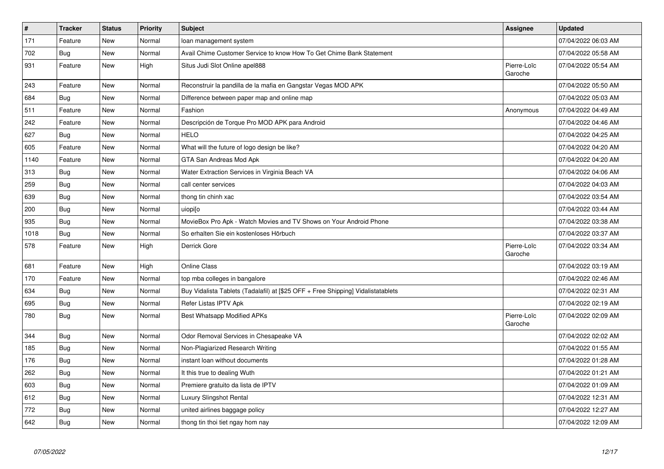| $\vert$ # | <b>Tracker</b> | <b>Status</b> | Priority | <b>Subject</b>                                                                   | <b>Assignee</b>        | <b>Updated</b>      |
|-----------|----------------|---------------|----------|----------------------------------------------------------------------------------|------------------------|---------------------|
| 171       | Feature        | New           | Normal   | loan management system                                                           |                        | 07/04/2022 06:03 AM |
| 702       | <b>Bug</b>     | New           | Normal   | Avail Chime Customer Service to know How To Get Chime Bank Statement             |                        | 07/04/2022 05:58 AM |
| 931       | Feature        | New           | High     | Situs Judi Slot Online apel888                                                   | Pierre-Loïc<br>Garoche | 07/04/2022 05:54 AM |
| 243       | Feature        | <b>New</b>    | Normal   | Reconstruir la pandilla de la mafia en Gangstar Vegas MOD APK                    |                        | 07/04/2022 05:50 AM |
| 684       | Bug            | New           | Normal   | Difference between paper map and online map                                      |                        | 07/04/2022 05:03 AM |
| 511       | Feature        | New           | Normal   | Fashion                                                                          | Anonymous              | 07/04/2022 04:49 AM |
| 242       | Feature        | New           | Normal   | Descripción de Torque Pro MOD APK para Android                                   |                        | 07/04/2022 04:46 AM |
| 627       | <b>Bug</b>     | New           | Normal   | <b>HELO</b>                                                                      |                        | 07/04/2022 04:25 AM |
| 605       | Feature        | New           | Normal   | What will the future of logo design be like?                                     |                        | 07/04/2022 04:20 AM |
| 1140      | Feature        | New           | Normal   | GTA San Andreas Mod Apk                                                          |                        | 07/04/2022 04:20 AM |
| 313       | <b>Bug</b>     | New           | Normal   | Water Extraction Services in Virginia Beach VA                                   |                        | 07/04/2022 04:06 AM |
| 259       | Bug            | New           | Normal   | call center services                                                             |                        | 07/04/2022 04:03 AM |
| 639       | <b>Bug</b>     | New           | Normal   | thong tin chinh xac                                                              |                        | 07/04/2022 03:54 AM |
| 200       | Bug            | New           | Normal   | uiopi[o                                                                          |                        | 07/04/2022 03:44 AM |
| 935       | <b>Bug</b>     | New           | Normal   | MovieBox Pro Apk - Watch Movies and TV Shows on Your Android Phone               |                        | 07/04/2022 03:38 AM |
| 1018      | <b>Bug</b>     | New           | Normal   | So erhalten Sie ein kostenloses Hörbuch                                          |                        | 07/04/2022 03:37 AM |
| 578       | Feature        | New           | High     | Derrick Gore                                                                     | Pierre-Loïc<br>Garoche | 07/04/2022 03:34 AM |
| 681       | Feature        | New           | High     | <b>Online Class</b>                                                              |                        | 07/04/2022 03:19 AM |
| 170       | Feature        | New           | Normal   | top mba colleges in bangalore                                                    |                        | 07/04/2022 02:46 AM |
| 634       | <b>Bug</b>     | New           | Normal   | Buy Vidalista Tablets (Tadalafil) at [\$25 OFF + Free Shipping] Vidalistatablets |                        | 07/04/2022 02:31 AM |
| 695       | <b>Bug</b>     | New           | Normal   | Refer Listas IPTV Apk                                                            |                        | 07/04/2022 02:19 AM |
| 780       | Bug            | <b>New</b>    | Normal   | Best Whatsapp Modified APKs                                                      | Pierre-Loïc<br>Garoche | 07/04/2022 02:09 AM |
| 344       | Bug            | New           | Normal   | Odor Removal Services in Chesapeake VA                                           |                        | 07/04/2022 02:02 AM |
| 185       | <b>Bug</b>     | New           | Normal   | Non-Plagiarized Research Writing                                                 |                        | 07/04/2022 01:55 AM |
| 176       | <b>Bug</b>     | New           | Normal   | instant loan without documents                                                   |                        | 07/04/2022 01:28 AM |
| 262       | Bug            | <b>New</b>    | Normal   | It this true to dealing Wuth                                                     |                        | 07/04/2022 01:21 AM |
| 603       | Bug            | New           | Normal   | Premiere gratuito da lista de IPTV                                               |                        | 07/04/2022 01:09 AM |
| 612       | <b>Bug</b>     | New           | Normal   | Luxury Slingshot Rental                                                          |                        | 07/04/2022 12:31 AM |
| 772       | Bug            | New           | Normal   | united airlines baggage policy                                                   |                        | 07/04/2022 12:27 AM |
| 642       | Bug            | <b>New</b>    | Normal   | thong tin thoi tiet ngay hom nay                                                 |                        | 07/04/2022 12:09 AM |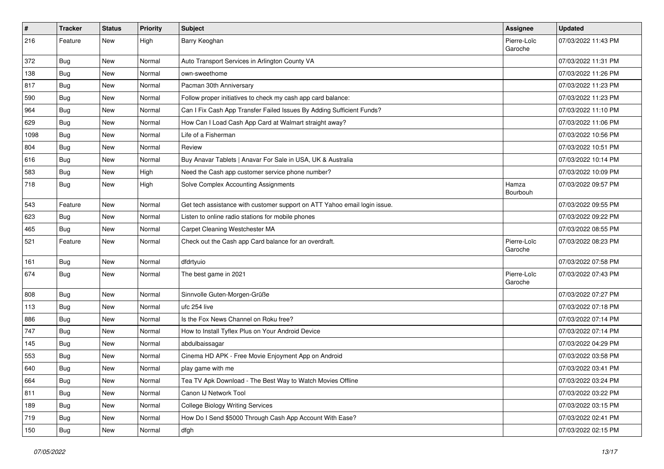| $\vert$ # | <b>Tracker</b> | <b>Status</b> | <b>Priority</b> | Subject                                                                   | <b>Assignee</b>        | <b>Updated</b>      |
|-----------|----------------|---------------|-----------------|---------------------------------------------------------------------------|------------------------|---------------------|
| 216       | Feature        | New           | High            | Barry Keoghan                                                             | Pierre-Loïc<br>Garoche | 07/03/2022 11:43 PM |
| 372       | Bug            | New           | Normal          | Auto Transport Services in Arlington County VA                            |                        | 07/03/2022 11:31 PM |
| 138       | <b>Bug</b>     | <b>New</b>    | Normal          | own-sweethome                                                             |                        | 07/03/2022 11:26 PM |
| 817       | Bug            | New           | Normal          | Pacman 30th Anniversary                                                   |                        | 07/03/2022 11:23 PM |
| 590       | <b>Bug</b>     | New           | Normal          | Follow proper initiatives to check my cash app card balance:              |                        | 07/03/2022 11:23 PM |
| 964       | <b>Bug</b>     | New           | Normal          | Can I Fix Cash App Transfer Failed Issues By Adding Sufficient Funds?     |                        | 07/03/2022 11:10 PM |
| 629       | <b>Bug</b>     | New           | Normal          | How Can I Load Cash App Card at Walmart straight away?                    |                        | 07/03/2022 11:06 PM |
| 1098      | <b>Bug</b>     | New           | Normal          | Life of a Fisherman                                                       |                        | 07/03/2022 10:56 PM |
| 804       | Bug            | New           | Normal          | Review                                                                    |                        | 07/03/2022 10:51 PM |
| 616       | <b>Bug</b>     | New           | Normal          | Buy Anavar Tablets   Anavar For Sale in USA, UK & Australia               |                        | 07/03/2022 10:14 PM |
| 583       | Bug            | New           | High            | Need the Cash app customer service phone number?                          |                        | 07/03/2022 10:09 PM |
| 718       | Bug            | New           | High            | Solve Complex Accounting Assignments                                      | Hamza<br>Bourbouh      | 07/03/2022 09:57 PM |
| 543       | Feature        | New           | Normal          | Get tech assistance with customer support on ATT Yahoo email login issue. |                        | 07/03/2022 09:55 PM |
| 623       | Bug            | New           | Normal          | Listen to online radio stations for mobile phones                         |                        | 07/03/2022 09:22 PM |
| 465       | <b>Bug</b>     | New           | Normal          | Carpet Cleaning Westchester MA                                            |                        | 07/03/2022 08:55 PM |
| 521       | Feature        | New           | Normal          | Check out the Cash app Card balance for an overdraft.                     | Pierre-Loïc<br>Garoche | 07/03/2022 08:23 PM |
| 161       | Bug            | New           | Normal          | dfdrtyuio                                                                 |                        | 07/03/2022 07:58 PM |
| 674       | Bug            | <b>New</b>    | Normal          | The best game in 2021                                                     | Pierre-Loïc<br>Garoche | 07/03/2022 07:43 PM |
| 808       | Bug            | New           | Normal          | Sinnvolle Guten-Morgen-Grüße                                              |                        | 07/03/2022 07:27 PM |
| 113       | Bug            | New           | Normal          | ufc 254 live                                                              |                        | 07/03/2022 07:18 PM |
| 886       | <b>Bug</b>     | New           | Normal          | Is the Fox News Channel on Roku free?                                     |                        | 07/03/2022 07:14 PM |
| 747       | Bug            | New           | Normal          | How to Install Tyflex Plus on Your Android Device                         |                        | 07/03/2022 07:14 PM |
| 145       | Bug            | New           | Normal          | abdulbaissagar                                                            |                        | 07/03/2022 04:29 PM |
| 553       | <b>Bug</b>     | New           | Normal          | Cinema HD APK - Free Movie Enjoyment App on Android                       |                        | 07/03/2022 03:58 PM |
| 640       | <b>Bug</b>     | New           | Normal          | play game with me                                                         |                        | 07/03/2022 03:41 PM |
| 664       | <b>Bug</b>     | New           | Normal          | Tea TV Apk Download - The Best Way to Watch Movies Offline                |                        | 07/03/2022 03:24 PM |
| 811       | Bug            | New           | Normal          | Canon IJ Network Tool                                                     |                        | 07/03/2022 03:22 PM |
| 189       | <b>Bug</b>     | New           | Normal          | College Biology Writing Services                                          |                        | 07/03/2022 03:15 PM |
| 719       | <b>Bug</b>     | New           | Normal          | How Do I Send \$5000 Through Cash App Account With Ease?                  |                        | 07/03/2022 02:41 PM |
| 150       | <b>Bug</b>     | New           | Normal          | dfgh                                                                      |                        | 07/03/2022 02:15 PM |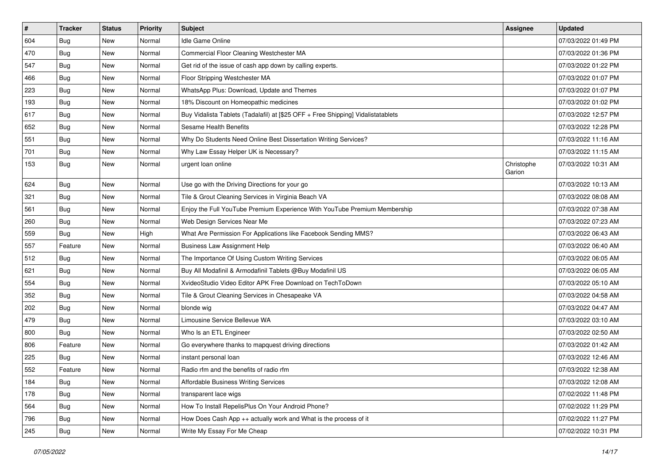| $\vert$ # | <b>Tracker</b> | <b>Status</b> | <b>Priority</b> | <b>Subject</b>                                                                   | <b>Assignee</b>      | <b>Updated</b>      |
|-----------|----------------|---------------|-----------------|----------------------------------------------------------------------------------|----------------------|---------------------|
| 604       | Bug            | New           | Normal          | Idle Game Online                                                                 |                      | 07/03/2022 01:49 PM |
| 470       | Bug            | <b>New</b>    | Normal          | Commercial Floor Cleaning Westchester MA                                         |                      | 07/03/2022 01:36 PM |
| 547       | <b>Bug</b>     | New           | Normal          | Get rid of the issue of cash app down by calling experts.                        |                      | 07/03/2022 01:22 PM |
| 466       | <b>Bug</b>     | New           | Normal          | Floor Stripping Westchester MA                                                   |                      | 07/03/2022 01:07 PM |
| 223       | Bug            | New           | Normal          | WhatsApp Plus: Download, Update and Themes                                       |                      | 07/03/2022 01:07 PM |
| 193       | <b>Bug</b>     | New           | Normal          | 18% Discount on Homeopathic medicines                                            |                      | 07/03/2022 01:02 PM |
| 617       | <b>Bug</b>     | New           | Normal          | Buy Vidalista Tablets (Tadalafil) at [\$25 OFF + Free Shipping] Vidalistatablets |                      | 07/03/2022 12:57 PM |
| 652       | <b>Bug</b>     | New           | Normal          | Sesame Health Benefits                                                           |                      | 07/03/2022 12:28 PM |
| 551       | <b>Bug</b>     | New           | Normal          | Why Do Students Need Online Best Dissertation Writing Services?                  |                      | 07/03/2022 11:16 AM |
| 701       | Bug            | New           | Normal          | Why Law Essay Helper UK is Necessary?                                            |                      | 07/03/2022 11:15 AM |
| 153       | Bug            | New           | Normal          | urgent loan online                                                               | Christophe<br>Garion | 07/03/2022 10:31 AM |
| 624       | <b>Bug</b>     | <b>New</b>    | Normal          | Use go with the Driving Directions for your go                                   |                      | 07/03/2022 10:13 AM |
| 321       | <b>Bug</b>     | New           | Normal          | Tile & Grout Cleaning Services in Virginia Beach VA                              |                      | 07/03/2022 08:08 AM |
| 561       | Bug            | New           | Normal          | Enjoy the Full YouTube Premium Experience With YouTube Premium Membership        |                      | 07/03/2022 07:38 AM |
| 260       | <b>Bug</b>     | New           | Normal          | Web Design Services Near Me                                                      |                      | 07/03/2022 07:23 AM |
| 559       | <b>Bug</b>     | New           | High            | What Are Permission For Applications like Facebook Sending MMS?                  |                      | 07/03/2022 06:43 AM |
| 557       | Feature        | New           | Normal          | <b>Business Law Assignment Help</b>                                              |                      | 07/03/2022 06:40 AM |
| 512       | <b>Bug</b>     | New           | Normal          | The Importance Of Using Custom Writing Services                                  |                      | 07/03/2022 06:05 AM |
| 621       | <b>Bug</b>     | New           | Normal          | Buy All Modafinil & Armodafinil Tablets @Buy Modafinil US                        |                      | 07/03/2022 06:05 AM |
| 554       | <b>Bug</b>     | New           | Normal          | XvideoStudio Video Editor APK Free Download on TechToDown                        |                      | 07/03/2022 05:10 AM |
| 352       | <b>Bug</b>     | New           | Normal          | Tile & Grout Cleaning Services in Chesapeake VA                                  |                      | 07/03/2022 04:58 AM |
| 202       | Bug            | New           | Normal          | blonde wig                                                                       |                      | 07/03/2022 04:47 AM |
| 479       | <b>Bug</b>     | New           | Normal          | Limousine Service Bellevue WA                                                    |                      | 07/03/2022 03:10 AM |
| 800       | Bug            | New           | Normal          | Who Is an ETL Engineer                                                           |                      | 07/03/2022 02:50 AM |
| 806       | Feature        | New           | Normal          | Go everywhere thanks to mapquest driving directions                              |                      | 07/03/2022 01:42 AM |
| 225       | Bug            | New           | Normal          | instant personal loan                                                            |                      | 07/03/2022 12:46 AM |
| 552       | Feature        | New           | Normal          | Radio rfm and the benefits of radio rfm                                          |                      | 07/03/2022 12:38 AM |
| 184       | <b>Bug</b>     | New           | Normal          | Affordable Business Writing Services                                             |                      | 07/03/2022 12:08 AM |
| 178       | Bug            | New           | Normal          | transparent lace wigs                                                            |                      | 07/02/2022 11:48 PM |
| 564       | Bug            | New           | Normal          | How To Install RepelisPlus On Your Android Phone?                                |                      | 07/02/2022 11:29 PM |
| 796       | <b>Bug</b>     | New           | Normal          | How Does Cash App ++ actually work and What is the process of it                 |                      | 07/02/2022 11:27 PM |
| 245       | <b>Bug</b>     | New           | Normal          | Write My Essay For Me Cheap                                                      |                      | 07/02/2022 10:31 PM |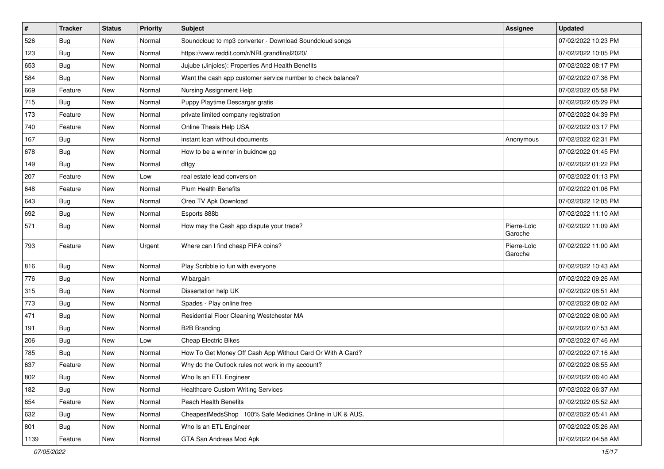| $\sharp$ | <b>Tracker</b> | <b>Status</b> | <b>Priority</b> | <b>Subject</b>                                              | <b>Assignee</b>        | <b>Updated</b>      |
|----------|----------------|---------------|-----------------|-------------------------------------------------------------|------------------------|---------------------|
| 526      | <b>Bug</b>     | New           | Normal          | Soundcloud to mp3 converter - Download Soundcloud songs     |                        | 07/02/2022 10:23 PM |
| 123      | <b>Bug</b>     | New           | Normal          | https://www.reddit.com/r/NRLgrandfinal2020/                 |                        | 07/02/2022 10:05 PM |
| 653      | Bug            | New           | Normal          | Jujube (Jinjoles): Properties And Health Benefits           |                        | 07/02/2022 08:17 PM |
| 584      | <b>Bug</b>     | New           | Normal          | Want the cash app customer service number to check balance? |                        | 07/02/2022 07:36 PM |
| 669      | Feature        | New           | Normal          | Nursing Assignment Help                                     |                        | 07/02/2022 05:58 PM |
| 715      | <b>Bug</b>     | New           | Normal          | Puppy Playtime Descargar gratis                             |                        | 07/02/2022 05:29 PM |
| 173      | Feature        | New           | Normal          | private limited company registration                        |                        | 07/02/2022 04:39 PM |
| 740      | Feature        | New           | Normal          | Online Thesis Help USA                                      |                        | 07/02/2022 03:17 PM |
| 167      | <b>Bug</b>     | New           | Normal          | instant loan without documents                              | Anonymous              | 07/02/2022 02:31 PM |
| 678      | <b>Bug</b>     | New           | Normal          | How to be a winner in buidnow gg                            |                        | 07/02/2022 01:45 PM |
| 149      | <b>Bug</b>     | New           | Normal          | dftgy                                                       |                        | 07/02/2022 01:22 PM |
| 207      | Feature        | New           | Low             | real estate lead conversion                                 |                        | 07/02/2022 01:13 PM |
| 648      | Feature        | New           | Normal          | <b>Plum Health Benefits</b>                                 |                        | 07/02/2022 01:06 PM |
| 643      | <b>Bug</b>     | New           | Normal          | Oreo TV Apk Download                                        |                        | 07/02/2022 12:05 PM |
| 692      | <b>Bug</b>     | New           | Normal          | Esports 888b                                                |                        | 07/02/2022 11:10 AM |
| 571      | Bug            | New           | Normal          | How may the Cash app dispute your trade?                    | Pierre-Loïc<br>Garoche | 07/02/2022 11:09 AM |
| 793      | Feature        | New           | Urgent          | Where can I find cheap FIFA coins?                          | Pierre-Loïc<br>Garoche | 07/02/2022 11:00 AM |
| 816      | Bug            | New           | Normal          | Play Scribble io fun with everyone                          |                        | 07/02/2022 10:43 AM |
| 776      | <b>Bug</b>     | <b>New</b>    | Normal          | Wibargain                                                   |                        | 07/02/2022 09:26 AM |
| 315      | Bug            | New           | Normal          | Dissertation help UK                                        |                        | 07/02/2022 08:51 AM |
| 773      | Bug            | New           | Normal          | Spades - Play online free                                   |                        | 07/02/2022 08:02 AM |
| 471      | Bug            | New           | Normal          | Residential Floor Cleaning Westchester MA                   |                        | 07/02/2022 08:00 AM |
| 191      | <b>Bug</b>     | New           | Normal          | <b>B2B Branding</b>                                         |                        | 07/02/2022 07:53 AM |
| 206      | Bug            | <b>New</b>    | Low             | Cheap Electric Bikes                                        |                        | 07/02/2022 07:46 AM |
| 785      | <b>Bug</b>     | New           | Normal          | How To Get Money Off Cash App Without Card Or With A Card?  |                        | 07/02/2022 07:16 AM |
| 637      | Feature        | New           | Normal          | Why do the Outlook rules not work in my account?            |                        | 07/02/2022 06:55 AM |
| 802      | Bug            | New           | Normal          | Who Is an ETL Engineer                                      |                        | 07/02/2022 06:40 AM |
| 182      | Bug            | New           | Normal          | <b>Healthcare Custom Writing Services</b>                   |                        | 07/02/2022 06:37 AM |
| 654      | Feature        | New           | Normal          | Peach Health Benefits                                       |                        | 07/02/2022 05:52 AM |
| 632      | <b>Bug</b>     | New           | Normal          | CheapestMedsShop   100% Safe Medicines Online in UK & AUS.  |                        | 07/02/2022 05:41 AM |
| 801      | <b>Bug</b>     | New           | Normal          | Who Is an ETL Engineer                                      |                        | 07/02/2022 05:26 AM |
| 1139     | Feature        | New           | Normal          | GTA San Andreas Mod Apk                                     |                        | 07/02/2022 04:58 AM |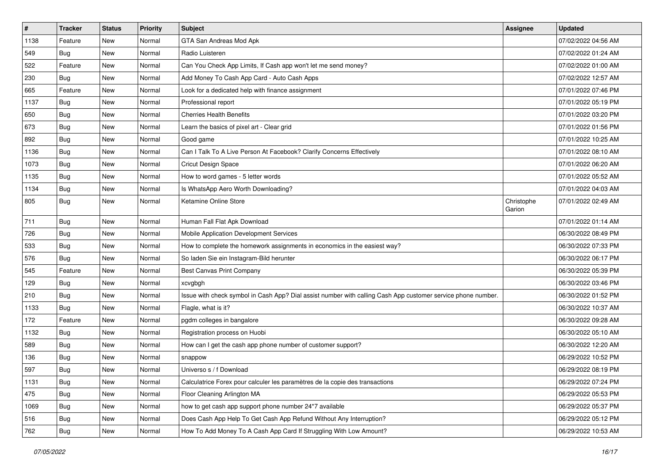| $\vert$ # | <b>Tracker</b> | <b>Status</b> | <b>Priority</b> | Subject                                                                                                      | <b>Assignee</b>      | <b>Updated</b>      |
|-----------|----------------|---------------|-----------------|--------------------------------------------------------------------------------------------------------------|----------------------|---------------------|
| 1138      | Feature        | New           | Normal          | GTA San Andreas Mod Apk                                                                                      |                      | 07/02/2022 04:56 AM |
| 549       | <b>Bug</b>     | New           | Normal          | Radio Luisteren                                                                                              |                      | 07/02/2022 01:24 AM |
| 522       | Feature        | New           | Normal          | Can You Check App Limits, If Cash app won't let me send money?                                               |                      | 07/02/2022 01:00 AM |
| 230       | <b>Bug</b>     | New           | Normal          | Add Money To Cash App Card - Auto Cash Apps                                                                  |                      | 07/02/2022 12:57 AM |
| 665       | Feature        | New           | Normal          | Look for a dedicated help with finance assignment                                                            |                      | 07/01/2022 07:46 PM |
| 1137      | <b>Bug</b>     | New           | Normal          | Professional report                                                                                          |                      | 07/01/2022 05:19 PM |
| 650       | Bug            | New           | Normal          | <b>Cherries Health Benefits</b>                                                                              |                      | 07/01/2022 03:20 PM |
| 673       | Bug            | New           | Normal          | Learn the basics of pixel art - Clear grid                                                                   |                      | 07/01/2022 01:56 PM |
| 892       | <b>Bug</b>     | New           | Normal          | Good game                                                                                                    |                      | 07/01/2022 10:25 AM |
| 1136      | Bug            | New           | Normal          | Can I Talk To A Live Person At Facebook? Clarify Concerns Effectively                                        |                      | 07/01/2022 08:10 AM |
| 1073      | <b>Bug</b>     | New           | Normal          | <b>Cricut Design Space</b>                                                                                   |                      | 07/01/2022 06:20 AM |
| 1135      | <b>Bug</b>     | New           | Normal          | How to word games - 5 letter words                                                                           |                      | 07/01/2022 05:52 AM |
| 1134      | Bug            | <b>New</b>    | Normal          | Is WhatsApp Aero Worth Downloading?                                                                          |                      | 07/01/2022 04:03 AM |
| 805       | Bug            | New           | Normal          | Ketamine Online Store                                                                                        | Christophe<br>Garion | 07/01/2022 02:49 AM |
| 711       | Bug            | New           | Normal          | Human Fall Flat Apk Download                                                                                 |                      | 07/01/2022 01:14 AM |
| 726       | Bug            | <b>New</b>    | Normal          | Mobile Application Development Services                                                                      |                      | 06/30/2022 08:49 PM |
| 533       | Bug            | New           | Normal          | How to complete the homework assignments in economics in the easiest way?                                    |                      | 06/30/2022 07:33 PM |
| 576       | Bug            | New           | Normal          | So laden Sie ein Instagram-Bild herunter                                                                     |                      | 06/30/2022 06:17 PM |
| 545       | Feature        | New           | Normal          | <b>Best Canvas Print Company</b>                                                                             |                      | 06/30/2022 05:39 PM |
| 129       | Bug            | <b>New</b>    | Normal          | xcvgbgh                                                                                                      |                      | 06/30/2022 03:46 PM |
| 210       | Bug            | New           | Normal          | Issue with check symbol in Cash App? Dial assist number with calling Cash App customer service phone number. |                      | 06/30/2022 01:52 PM |
| 1133      | Bug            | New           | Normal          | Flagle, what is it?                                                                                          |                      | 06/30/2022 10:37 AM |
| 172       | Feature        | New           | Normal          | pgdm colleges in bangalore                                                                                   |                      | 06/30/2022 09:28 AM |
| 1132      | <b>Bug</b>     | New           | Normal          | Registration process on Huobi                                                                                |                      | 06/30/2022 05:10 AM |
| 589       | <b>Bug</b>     | New           | Normal          | How can I get the cash app phone number of customer support?                                                 |                      | 06/30/2022 12:20 AM |
| 136       | <b>Bug</b>     | New           | Normal          | snappow                                                                                                      |                      | 06/29/2022 10:52 PM |
| 597       | Bug            | New           | Normal          | Universo s / f Download                                                                                      |                      | 06/29/2022 08:19 PM |
| 1131      | <b>Bug</b>     | New           | Normal          | Calculatrice Forex pour calculer les paramètres de la copie des transactions                                 |                      | 06/29/2022 07:24 PM |
| 475       | Bug            | New           | Normal          | Floor Cleaning Arlington MA                                                                                  |                      | 06/29/2022 05:53 PM |
| 1069      | <b>Bug</b>     | New           | Normal          | how to get cash app support phone number 24*7 available                                                      |                      | 06/29/2022 05:37 PM |
| 516       | <b>Bug</b>     | New           | Normal          | Does Cash App Help To Get Cash App Refund Without Any Interruption?                                          |                      | 06/29/2022 05:12 PM |
| 762       | <b>Bug</b>     | New           | Normal          | How To Add Money To A Cash App Card If Struggling With Low Amount?                                           |                      | 06/29/2022 10:53 AM |